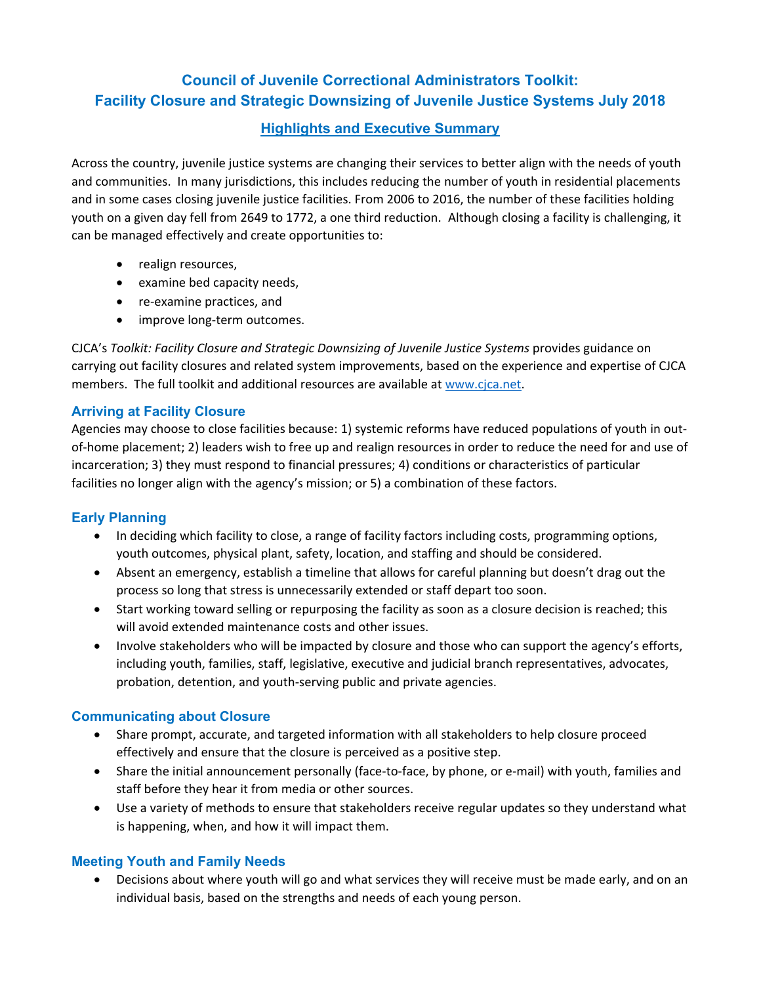# **Council of Juvenile Correctional Administrators Toolkit: Facility Closure and Strategic Downsizing of Juvenile Justice Systems July 2018**

# **Highlights and Executive Summary**

Across the country, juvenile justice systems are changing their services to better align with the needs of youth and communities. In many jurisdictions, this includes reducing the number of youth in residential placements and in some cases closing juvenile justice facilities. From 2006 to 2016, the number of these facilities holding youth on a given day fell from 2649 to 1772, a one third reduction. Although closing a facility is challenging, it can be managed effectively and create opportunities to:

- realign resources,
- examine bed capacity needs,
- re-examine practices, and
- improve long-term outcomes.

CJCA's *Toolkit: Facility Closure and Strategic Downsizing of Juvenile Justice Systems* provides guidance on carrying out facility closures and related system improvements, based on the experience and expertise of CJCA members. The full toolkit and additional resources are available at www.cjca.net.

#### **Arriving at Facility Closure**

Agencies may choose to close facilities because: 1) systemic reforms have reduced populations of youth in out‐ of‐home placement; 2) leaders wish to free up and realign resources in order to reduce the need for and use of incarceration; 3) they must respond to financial pressures; 4) conditions or characteristics of particular facilities no longer align with the agency's mission; or 5) a combination of these factors.

# **Early Planning**

- In deciding which facility to close, a range of facility factors including costs, programming options, youth outcomes, physical plant, safety, location, and staffing and should be considered.
- Absent an emergency, establish a timeline that allows for careful planning but doesn't drag out the process so long that stress is unnecessarily extended or staff depart too soon.
- Start working toward selling or repurposing the facility as soon as a closure decision is reached; this will avoid extended maintenance costs and other issues.
- Involve stakeholders who will be impacted by closure and those who can support the agency's efforts, including youth, families, staff, legislative, executive and judicial branch representatives, advocates, probation, detention, and youth‐serving public and private agencies.

#### **Communicating about Closure**

- Share prompt, accurate, and targeted information with all stakeholders to help closure proceed effectively and ensure that the closure is perceived as a positive step.
- Share the initial announcement personally (face-to-face, by phone, or e-mail) with youth, families and staff before they hear it from media or other sources.
- Use a variety of methods to ensure that stakeholders receive regular updates so they understand what is happening, when, and how it will impact them.

#### **Meeting Youth and Family Needs**

 Decisions about where youth will go and what services they will receive must be made early, and on an individual basis, based on the strengths and needs of each young person.